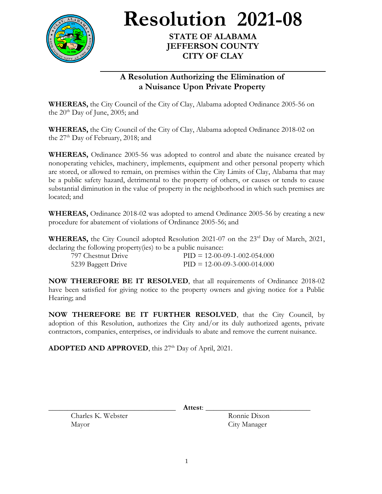

**Resolution 2021-08**

**STATE OF ALABAMA JEFFERSON COUNTY CITY OF CLAY**

## **A Resolution Authorizing the Elimination of a Nuisance Upon Private Property**

**WHEREAS,** the City Council of the City of Clay, Alabama adopted Ordinance 2005-56 on the  $20<sup>th</sup>$  Day of June, 2005; and

**WHEREAS,** the City Council of the City of Clay, Alabama adopted Ordinance 2018-02 on the  $27<sup>th</sup>$  Day of February, 2018; and

**WHEREAS,** Ordinance 2005-56 was adopted to control and abate the nuisance created by nonoperating vehicles, machinery, implements, equipment and other personal property which are stored, or allowed to remain, on premises within the City Limits of Clay, Alabama that may be a public safety hazard, detrimental to the property of others, or causes or tends to cause substantial diminution in the value of property in the neighborhood in which such premises are located; and

**WHEREAS,** Ordinance 2018-02 was adopted to amend Ordinance 2005-56 by creating a new procedure for abatement of violations of Ordinance 2005-56; and

**WHEREAS,** the City Council adopted Resolution 2021-07 on the 23<sup>rd</sup> Day of March, 2021, declaring the following property(ies) to be a public nuisance:

| 797 Chestnut Drive | $PID = 12-00-09-1-002-054.000$ |
|--------------------|--------------------------------|
| 5239 Baggett Drive | $PID = 12-00-09-3-000-014.000$ |

**NOW THEREFORE BE IT RESOLVED**, that all requirements of Ordinance 2018-02 have been satisfied for giving notice to the property owners and giving notice for a Public Hearing; and

**NOW THEREFORE BE IT FURTHER RESOLVED**, that the City Council, by adoption of this Resolution, authorizes the City and/or its duly authorized agents, private contractors, companies, enterprises, or individuals to abate and remove the current nuisance.

ADOPTED AND APPROVED, this 27<sup>th</sup> Day of April, 2021.

Charles K. Webster Ronnie Dixon Mayor City Manager

\_\_\_\_\_\_\_\_\_\_\_\_\_\_\_\_\_\_\_\_\_\_\_\_\_\_\_\_\_\_\_\_\_\_ **Attest**: \_\_\_\_\_\_\_\_\_\_\_\_\_\_\_\_\_\_\_\_\_\_\_\_\_\_\_\_